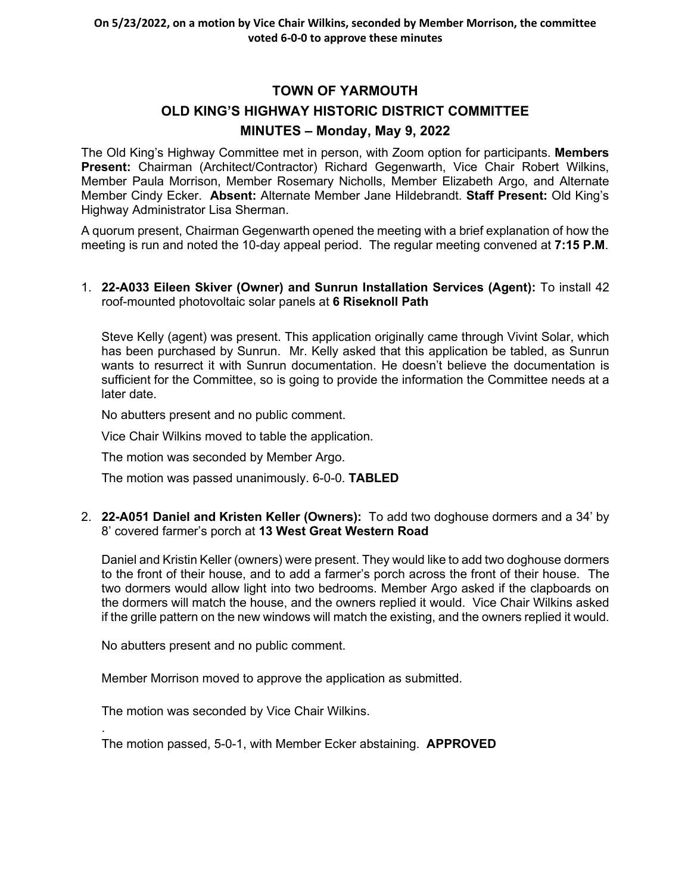# **TOWN OF YARMOUTH OLD KING'S HIGHWAY HISTORIC DISTRICT COMMITTEE MINUTES – Monday, May 9, 2022**

The Old King's Highway Committee met in person, with Zoom option for participants. **Members Present:** Chairman (Architect/Contractor) Richard Gegenwarth, Vice Chair Robert Wilkins, Member Paula Morrison, Member Rosemary Nicholls, Member Elizabeth Argo, and Alternate Member Cindy Ecker. **Absent:** Alternate Member Jane Hildebrandt. **Staff Present:** Old King's Highway Administrator Lisa Sherman.

A quorum present, Chairman Gegenwarth opened the meeting with a brief explanation of how the meeting is run and noted the 10-day appeal period. The regular meeting convened at **7:15 P.M**.

## 1. **[22-A033](https://lf.yarmouth.ma.us/WebLink/DocView.aspx?id=1657309&dbid=0&repo=LASERFICHE) Eileen Skiver (Owner) and Sunrun Installation Services (Agent):** To install 42 roof-mounted photovoltaic solar panels at **6 Riseknoll Path**

Steve Kelly (agent) was present. This application originally came through Vivint Solar, which has been purchased by Sunrun. Mr. Kelly asked that this application be tabled, as Sunrun wants to resurrect it with Sunrun documentation. He doesn't believe the documentation is sufficient for the Committee, so is going to provide the information the Committee needs at a later date.

No abutters present and no public comment.

Vice Chair Wilkins moved to table the application.

The motion was seconded by Member Argo.

The motion was passed unanimously. 6-0-0. **TABLED**

2. **[22-A051](https://lf.yarmouth.ma.us/WebLink/DocView.aspx?id=1654667&dbid=0&repo=LASERFICHE) Daniel and Kristen Keller (Owners):** To add two doghouse dormers and a 34' by 8' covered farmer's porch at **13 West Great Western Road**

Daniel and Kristin Keller (owners) were present. They would like to add two doghouse dormers to the front of their house, and to add a farmer's porch across the front of their house. The two dormers would allow light into two bedrooms. Member Argo asked if the clapboards on the dormers will match the house, and the owners replied it would. Vice Chair Wilkins asked if the grille pattern on the new windows will match the existing, and the owners replied it would.

No abutters present and no public comment.

Member Morrison moved to approve the application as submitted.

The motion was seconded by Vice Chair Wilkins.

.

The motion passed, 5-0-1, with Member Ecker abstaining. **APPROVED**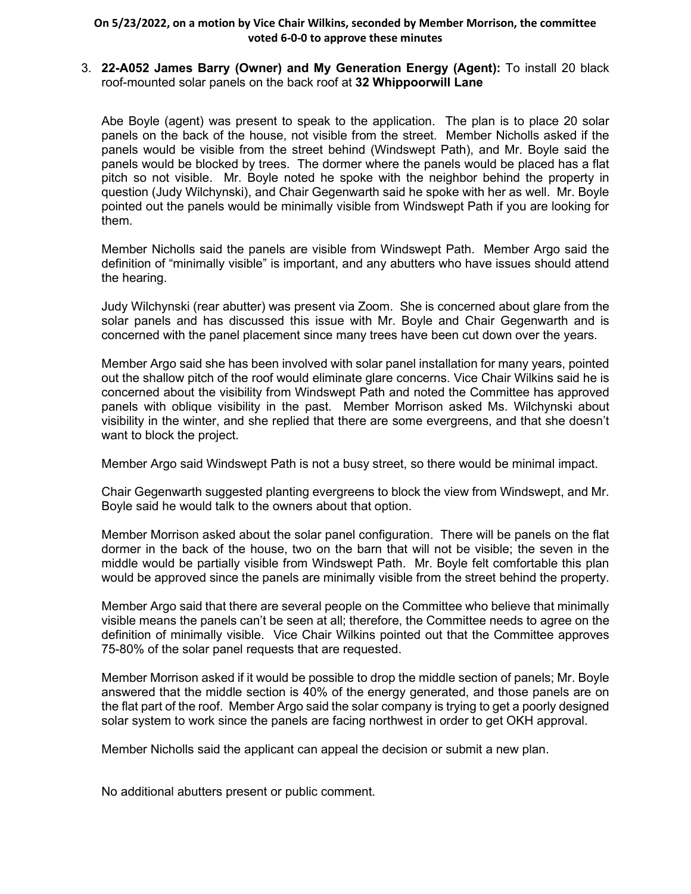## 3. **[22-A052](https://lf.yarmouth.ma.us/WebLink/DocView.aspx?id=1655363&dbid=0&repo=LASERFICHE) James Barry (Owner) and My Generation Energy (Agent):** To install 20 black roof-mounted solar panels on the back roof at **32 Whippoorwill Lane**

Abe Boyle (agent) was present to speak to the application. The plan is to place 20 solar panels on the back of the house, not visible from the street. Member Nicholls asked if the panels would be visible from the street behind (Windswept Path), and Mr. Boyle said the panels would be blocked by trees. The dormer where the panels would be placed has a flat pitch so not visible. Mr. Boyle noted he spoke with the neighbor behind the property in question (Judy Wilchynski), and Chair Gegenwarth said he spoke with her as well. Mr. Boyle pointed out the panels would be minimally visible from Windswept Path if you are looking for them.

Member Nicholls said the panels are visible from Windswept Path. Member Argo said the definition of "minimally visible" is important, and any abutters who have issues should attend the hearing.

Judy Wilchynski (rear abutter) was present via Zoom. She is concerned about glare from the solar panels and has discussed this issue with Mr. Boyle and Chair Gegenwarth and is concerned with the panel placement since many trees have been cut down over the years.

Member Argo said she has been involved with solar panel installation for many years, pointed out the shallow pitch of the roof would eliminate glare concerns. Vice Chair Wilkins said he is concerned about the visibility from Windswept Path and noted the Committee has approved panels with oblique visibility in the past. Member Morrison asked Ms. Wilchynski about visibility in the winter, and she replied that there are some evergreens, and that she doesn't want to block the project.

Member Argo said Windswept Path is not a busy street, so there would be minimal impact.

Chair Gegenwarth suggested planting evergreens to block the view from Windswept, and Mr. Boyle said he would talk to the owners about that option.

Member Morrison asked about the solar panel configuration. There will be panels on the flat dormer in the back of the house, two on the barn that will not be visible; the seven in the middle would be partially visible from Windswept Path. Mr. Boyle felt comfortable this plan would be approved since the panels are minimally visible from the street behind the property.

Member Argo said that there are several people on the Committee who believe that minimally visible means the panels can't be seen at all; therefore, the Committee needs to agree on the definition of minimally visible. Vice Chair Wilkins pointed out that the Committee approves 75-80% of the solar panel requests that are requested.

Member Morrison asked if it would be possible to drop the middle section of panels; Mr. Boyle answered that the middle section is 40% of the energy generated, and those panels are on the flat part of the roof. Member Argo said the solar company is trying to get a poorly designed solar system to work since the panels are facing northwest in order to get OKH approval.

Member Nicholls said the applicant can appeal the decision or submit a new plan.

No additional abutters present or public comment.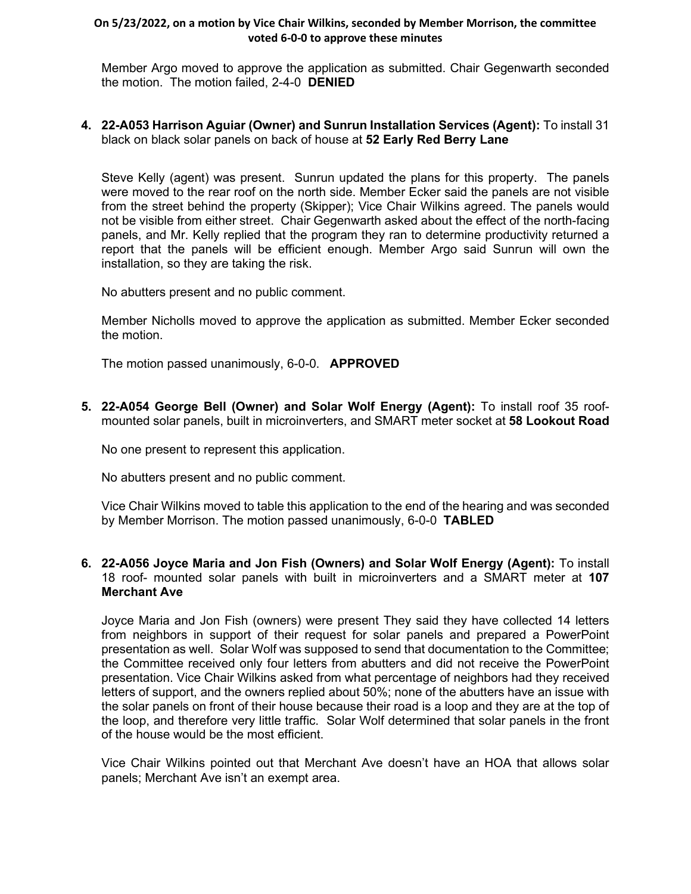Member Argo moved to approve the application as submitted. Chair Gegenwarth seconded the motion. The motion failed, 2-4-0 **DENIED**

**4. [22-A053](https://lf.yarmouth.ma.us/WebLink/DocView.aspx?id=1655445&dbid=0&repo=LASERFICHE) Harrison Aguiar (Owner) and Sunrun Installation Services (Agent):** To install 31 black on black solar panels on back of house at **52 Early Red Berry Lane**

Steve Kelly (agent) was present. Sunrun updated the plans for this property. The panels were moved to the rear roof on the north side. Member Ecker said the panels are not visible from the street behind the property (Skipper); Vice Chair Wilkins agreed. The panels would not be visible from either street. Chair Gegenwarth asked about the effect of the north-facing panels, and Mr. Kelly replied that the program they ran to determine productivity returned a report that the panels will be efficient enough. Member Argo said Sunrun will own the installation, so they are taking the risk.

No abutters present and no public comment.

Member Nicholls moved to approve the application as submitted. Member Ecker seconded the motion.

The motion passed unanimously, 6-0-0. **APPROVED**

**5. [22-A054](https://lf.yarmouth.ma.us/WebLink/DocView.aspx?id=1655449&dbid=0&repo=LASERFICHE) George Bell (Owner) and Solar Wolf Energy (Agent):** To install roof 35 roofmounted solar panels, built in microinverters, and SMART meter socket at **58 Lookout Road**

No one present to represent this application.

No abutters present and no public comment.

Vice Chair Wilkins moved to table this application to the end of the hearing and was seconded by Member Morrison. The motion passed unanimously, 6-0-0 **TABLED**

**6. [22-A056](https://lf.yarmouth.ma.us/WebLink/DocView.aspx?id=1655456&dbid=0&repo=LASERFICHE) Joyce Maria and Jon Fish (Owners) and Solar Wolf Energy (Agent):** To install 18 roof- mounted solar panels with built in microinverters and a SMART meter at **107 Merchant Ave** 

Joyce Maria and Jon Fish (owners) were present They said they have collected 14 letters from neighbors in support of their request for solar panels and prepared a PowerPoint presentation as well. Solar Wolf was supposed to send that documentation to the Committee; the Committee received only four letters from abutters and did not receive the PowerPoint presentation. Vice Chair Wilkins asked from what percentage of neighbors had they received letters of support, and the owners replied about 50%; none of the abutters have an issue with the solar panels on front of their house because their road is a loop and they are at the top of the loop, and therefore very little traffic. Solar Wolf determined that solar panels in the front of the house would be the most efficient.

Vice Chair Wilkins pointed out that Merchant Ave doesn't have an HOA that allows solar panels; Merchant Ave isn't an exempt area.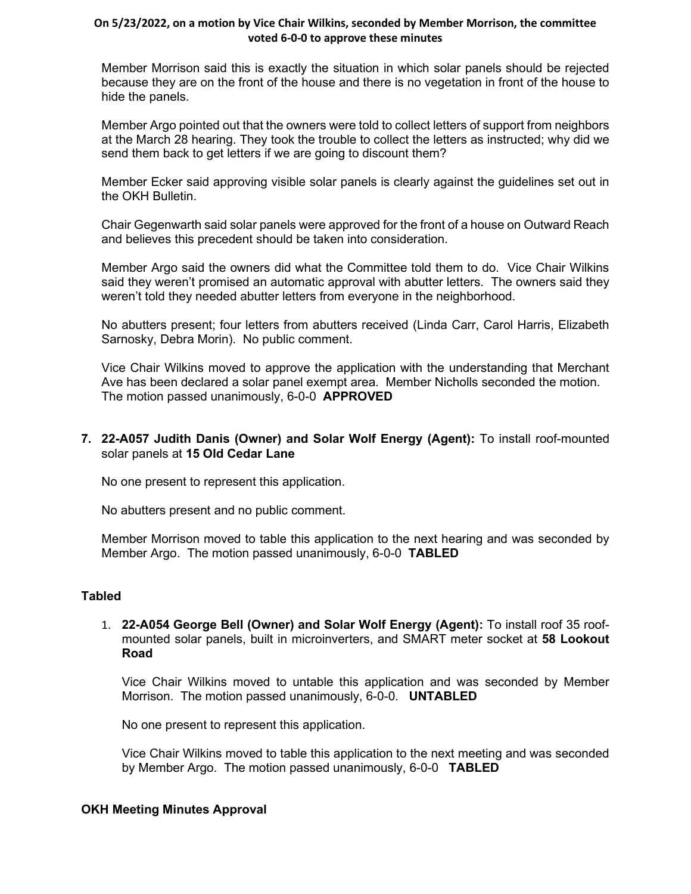Member Morrison said this is exactly the situation in which solar panels should be rejected because they are on the front of the house and there is no vegetation in front of the house to hide the panels.

Member Argo pointed out that the owners were told to collect letters of support from neighbors at the March 28 hearing. They took the trouble to collect the letters as instructed; why did we send them back to get letters if we are going to discount them?

Member Ecker said approving visible solar panels is clearly against the guidelines set out in the OKH Bulletin.

Chair Gegenwarth said solar panels were approved for the front of a house on Outward Reach and believes this precedent should be taken into consideration.

Member Argo said the owners did what the Committee told them to do. Vice Chair Wilkins said they weren't promised an automatic approval with abutter letters. The owners said they weren't told they needed abutter letters from everyone in the neighborhood.

No abutters present; four letters from abutters received (Linda Carr, Carol Harris, Elizabeth Sarnosky, Debra Morin). No public comment.

Vice Chair Wilkins moved to approve the application with the understanding that Merchant Ave has been declared a solar panel exempt area. Member Nicholls seconded the motion. The motion passed unanimously, 6-0-0 **APPROVED**

## **7. [22-A057](https://lf.yarmouth.ma.us/WebLink/DocView.aspx?id=1655473&dbid=0&repo=LASERFICHE) Judith Danis (Owner) and Solar Wolf Energy (Agent):** To install roof-mounted solar panels at **15 Old Cedar Lane**

No one present to represent this application.

No abutters present and no public comment.

Member Morrison moved to table this application to the next hearing and was seconded by Member Argo. The motion passed unanimously, 6-0-0 **TABLED**

## **Tabled**

1. **[22-A054](https://lf.yarmouth.ma.us/WebLink/DocView.aspx?id=1655449&dbid=0&repo=LASERFICHE) George Bell (Owner) and Solar Wolf Energy (Agent):** To install roof 35 roofmounted solar panels, built in microinverters, and SMART meter socket at **58 Lookout Road**

Vice Chair Wilkins moved to untable this application and was seconded by Member Morrison. The motion passed unanimously, 6-0-0. **UNTABLED**

No one present to represent this application.

Vice Chair Wilkins moved to table this application to the next meeting and was seconded by Member Argo. The motion passed unanimously, 6-0-0 **TABLED**

## **OKH Meeting Minutes Approval**